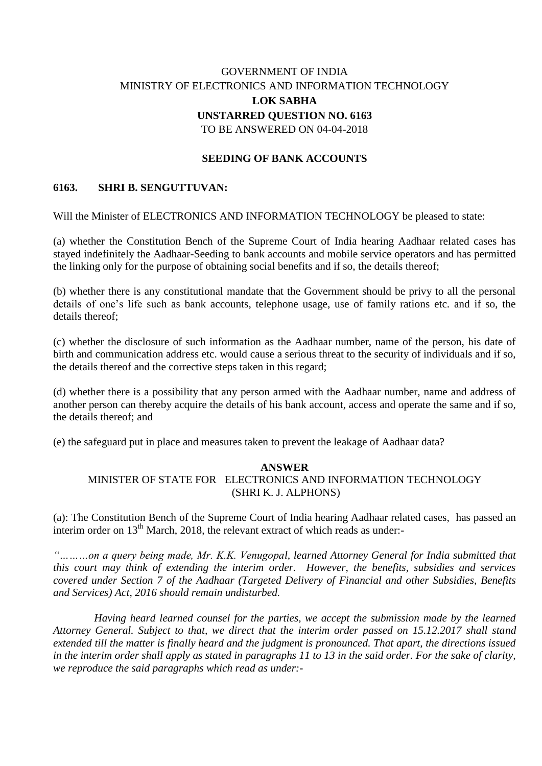## GOVERNMENT OF INDIA MINISTRY OF ELECTRONICS AND INFORMATION TECHNOLOGY **LOK SABHA UNSTARRED QUESTION NO. 6163** TO BE ANSWERED ON 04-04-2018

## **SEEDING OF BANK ACCOUNTS**

## **6163. SHRI B. SENGUTTUVAN:**

Will the Minister of ELECTRONICS AND INFORMATION TECHNOLOGY be pleased to state:

(a) whether the Constitution Bench of the Supreme Court of India hearing Aadhaar related cases has stayed indefinitely the Aadhaar-Seeding to bank accounts and mobile service operators and has permitted the linking only for the purpose of obtaining social benefits and if so, the details thereof;

(b) whether there is any constitutional mandate that the Government should be privy to all the personal details of one's life such as bank accounts, telephone usage, use of family rations etc. and if so, the details thereof<sup>.</sup>

(c) whether the disclosure of such information as the Aadhaar number, name of the person, his date of birth and communication address etc. would cause a serious threat to the security of individuals and if so, the details thereof and the corrective steps taken in this regard;

(d) whether there is a possibility that any person armed with the Aadhaar number, name and address of another person can thereby acquire the details of his bank account, access and operate the same and if so, the details thereof; and

(e) the safeguard put in place and measures taken to prevent the leakage of Aadhaar data?

## **ANSWER**

MINISTER OF STATE FOR ELECTRONICS AND INFORMATION TECHNOLOGY (SHRI K. J. ALPHONS)

(a): The Constitution Bench of the Supreme Court of India hearing Aadhaar related cases, has passed an interim order on  $13<sup>th</sup>$  March, 2018, the relevant extract of which reads as under:-

*"………on a query being made, Mr. K.K. Venugopal, learned Attorney General for India submitted that this court may think of extending the interim order. However, the benefits, subsidies and services covered under Section 7 of the Aadhaar (Targeted Delivery of Financial and other Subsidies, Benefits and Services) Act, 2016 should remain undisturbed.* 

 *Having heard learned counsel for the parties, we accept the submission made by the learned Attorney General. Subject to that, we direct that the interim order passed on 15.12.2017 shall stand extended till the matter is finally heard and the judgment is pronounced. That apart, the directions issued in the interim order shall apply as stated in paragraphs 11 to 13 in the said order. For the sake of clarity, we reproduce the said paragraphs which read as under:-*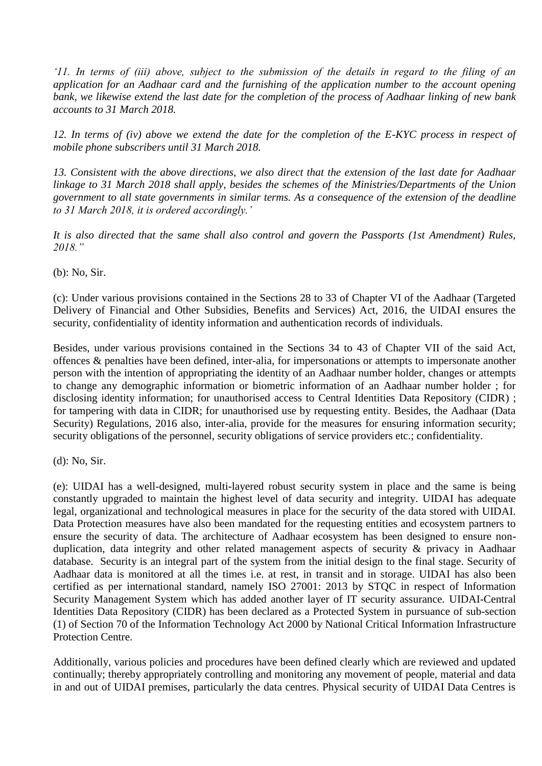*'11. In terms of (iii) above, subject to the submission of the details in regard to the filing of an application for an Aadhaar card and the furnishing of the application number to the account opening bank, we likewise extend the last date for the completion of the process of Aadhaar linking of new bank accounts to 31 March 2018.* 

*12. In terms of (iv) above we extend the date for the completion of the E-KYC process in respect of mobile phone subscribers until 31 March 2018.*

*13. Consistent with the above directions, we also direct that the extension of the last date for Aadhaar linkage to 31 March 2018 shall apply, besides the schemes of the Ministries/Departments of the Union government to all state governments in similar terms. As a consequence of the extension of the deadline to 31 March 2018, it is ordered accordingly.'*

*It is also directed that the same shall also control and govern the Passports (1st Amendment) Rules, 2018."*

(b): No, Sir.

(c): Under various provisions contained in the Sections 28 to 33 of Chapter VI of the Aadhaar (Targeted Delivery of Financial and Other Subsidies, Benefits and Services) Act, 2016, the UIDAI ensures the security, confidentiality of identity information and authentication records of individuals.

Besides, under various provisions contained in the Sections 34 to 43 of Chapter VII of the said Act, offences & penalties have been defined, inter-alia, for impersonations or attempts to impersonate another person with the intention of appropriating the identity of an Aadhaar number holder, changes or attempts to change any demographic information or biometric information of an Aadhaar number holder ; for disclosing identity information; for unauthorised access to Central Identities Data Repository (CIDR) ; for tampering with data in CIDR; for unauthorised use by requesting entity. Besides, the Aadhaar (Data Security) Regulations, 2016 also, inter-alia, provide for the measures for ensuring information security; security obligations of the personnel, security obligations of service providers etc.; confidentiality.

(d): No, Sir.

(e): UIDAI has a well-designed, multi-layered robust security system in place and the same is being constantly upgraded to maintain the highest level of data security and integrity. UIDAI has adequate legal, organizational and technological measures in place for the security of the data stored with UIDAI. Data Protection measures have also been mandated for the requesting entities and ecosystem partners to ensure the security of data. The architecture of Aadhaar ecosystem has been designed to ensure nonduplication, data integrity and other related management aspects of security & privacy in Aadhaar database. Security is an integral part of the system from the initial design to the final stage. Security of Aadhaar data is monitored at all the times i.e. at rest, in transit and in storage. UIDAI has also been certified as per international standard, namely ISO 27001: 2013 by STQC in respect of Information Security Management System which has added another layer of IT security assurance. UIDAI-Central Identities Data Repository (CIDR) has been declared as a Protected System in pursuance of sub-section (1) of Section 70 of the Information Technology Act 2000 by National Critical Information Infrastructure Protection Centre.

Additionally, various policies and procedures have been defined clearly which are reviewed and updated continually; thereby appropriately controlling and monitoring any movement of people, material and data in and out of UIDAI premises, particularly the data centres. Physical security of UIDAI Data Centres is